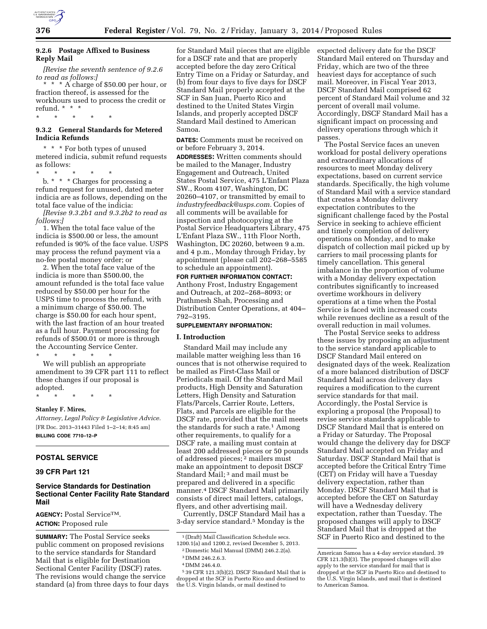

# **9.2.6 Postage Affixed to Business Reply Mail**

*[Revise the seventh sentence of 9.2.6 to read as follows:]* 

\* \* \* A charge of \$50.00 per hour, or fraction thereof, is assessed for the workhours used to process the credit or refund. \* \* \*

# **9.3.2 General Standards for Metered Indicia Refunds**

\* \* \* \* \*

\* \* \* For both types of unused metered indicia, submit refund requests as follows:

\* \* \* \* \* b. \* \* \* Charges for processing a refund request for unused, dated meter indicia are as follows, depending on the total face value of the indicia:

*[Revise 9.3.2b1 and 9.3.2b2 to read as follows:]* 

1. When the total face value of the indicia is \$500.00 or less, the amount refunded is 90% of the face value. USPS may process the refund payment via a no-fee postal money order; or

2. When the total face value of the indicia is more than \$500.00, the amount refunded is the total face value reduced by \$50.00 per hour for the USPS time to process the refund, with a minimum charge of \$50.00. The charge is \$50.00 for each hour spent, with the last fraction of an hour treated as a full hour. Payment processing for refunds of \$500.01 or more is through the Accounting Service Center.

\* \* \* \* \* We will publish an appropriate amendment to 39 CFR part 111 to reflect these changes if our proposal is adopted.

\* \* \* \* \*

## **Stanley F. Mires,**

*Attorney, Legal Policy & Legislative Advice.*  [FR Doc. 2013–31443 Filed 1–2–14; 8:45 am] **BILLING CODE 7710–12–P** 

# **POSTAL SERVICE**

# **39 CFR Part 121**

## **Service Standards for Destination Sectional Center Facility Rate Standard Mail**

**AGENCY:** Postal ServiceTM. **ACTION:** Proposed rule

**SUMMARY:** The Postal Service seeks public comment on proposed revisions to the service standards for Standard Mail that is eligible for Destination Sectional Center Facility (DSCF) rates. The revisions would change the service standard (a) from three days to four days for Standard Mail pieces that are eligible for a DSCF rate and that are properly accepted before the day zero Critical Entry Time on a Friday or Saturday, and (b) from four days to five days for DSCF Standard Mail properly accepted at the SCF in San Juan, Puerto Rico and destined to the United States Virgin Islands, and properly accepted DSCF Standard Mail destined to American Samoa.

**DATES:** Comments must be received on or before February 3, 2014.

**ADDRESSES:** Written comments should be mailed to the Manager, Industry Engagement and Outreach, United States Postal Service, 475 L'Enfant Plaza SW., Room 4107, Washington, DC 20260–4107, or transmitted by email to *[industryfeedback@usps.com.](mailto:industryfeedback@usps.com)* Copies of all comments will be available for inspection and photocopying at the Postal Service Headquarters Library, 475 L'Enfant Plaza SW., 11th Floor North, Washington, DC 20260, between 9 a.m. and 4 p.m., Monday through Friday, by appointment (please call 202–268–5585 to schedule an appointment).

**FOR FURTHER INFORMATION CONTACT:**  Anthony Frost, Industry Engagement and Outreach, at 202–268–8093; or Prathmesh Shah, Processing and Distribution Center Operations, at 404– 792–3195.

## **SUPPLEMENTARY INFORMATION:**

#### **I. Introduction**

Standard Mail may include any mailable matter weighing less than 16 ounces that is not otherwise required to be mailed as First-Class Mail or Periodicals mail. Of the Standard Mail products, High Density and Saturation Letters, High Density and Saturation Flats/Parcels, Carrier Route, Letters, Flats, and Parcels are eligible for the DSCF rate, provided that the mail meets the standards for such a rate.<sup>1</sup> Among other requirements, to qualify for a DSCF rate, a mailing must contain at least 200 addressed pieces or 50 pounds of addressed pieces; 2 mailers must make an appointment to deposit DSCF Standard Mail; 3 and mail must be prepared and delivered in a specific manner.4 DSCF Standard Mail primarily consists of direct mail letters, catalogs, flyers, and other advertising mail.

Currently, DSCF Standard Mail has a 3-day service standard.5 Monday is the

1 (Draft) Mail Classification Schedule secs. 1200.1(a) and 1200.2, revised December 5, 2013. expected delivery date for the DSCF Standard Mail entered on Thursday and Friday, which are two of the three heaviest days for acceptance of such mail. Moreover, in Fiscal Year 2013, DSCF Standard Mail comprised 62 percent of Standard Mail volume and 32 percent of overall mail volume. Accordingly, DSCF Standard Mail has a significant impact on processing and delivery operations through which it passes.

The Postal Service faces an uneven workload for postal delivery operations and extraordinary allocations of resources to meet Monday delivery expectations, based on current service standards. Specifically, the high volume of Standard Mail with a service standard that creates a Monday delivery expectation contributes to the significant challenge faced by the Postal Service in seeking to achieve efficient and timely completion of delivery operations on Monday, and to make dispatch of collection mail picked up by carriers to mail processing plants for timely cancellation. This general imbalance in the proportion of volume with a Monday delivery expectation contributes significantly to increased overtime workhours in delivery operations at a time when the Postal Service is faced with increased costs while revenues decline as a result of the overall reduction in mail volumes.

The Postal Service seeks to address these issues by proposing an adjustment to the service standard applicable to DSCF Standard Mail entered on designated days of the week. Realization of a more balanced distribution of DSCF Standard Mail across delivery days requires a modification to the current service standards for that mail. Accordingly, the Postal Service is exploring a proposal (the Proposal) to revise service standards applicable to DSCF Standard Mail that is entered on a Friday or Saturday. The Proposal would change the delivery day for DSCF Standard Mail accepted on Friday and Saturday. DSCF Standard Mail that is accepted before the Critical Entry Time (CET) on Friday will have a Tuesday delivery expectation, rather than Monday. DSCF Standard Mail that is accepted before the CET on Saturday will have a Wednesday delivery expectation, rather than Tuesday. The proposed changes will apply to DSCF Standard Mail that is dropped at the SCF in Puerto Rico and destined to the

<sup>2</sup> Domestic Mail Manual (DMM) 246.2.2(a).

<sup>3</sup> DMM 246.2.6.3.

<sup>4</sup> DMM 246.4.0.

<sup>5</sup> 39 CFR 121.3(b)(2). DSCF Standard Mail that is dropped at the SCF in Puerto Rico and destined to the U.S. Virgin Islands, or mail destined to

American Samoa has a 4-day service standard. 39 CFR 121.3(b)(3). The proposed changes will also apply to the service standard for mail that is dropped at the SCF in Puerto Rico and destined to the U.S. Virgin Islands, and mail that is destined to American Samoa.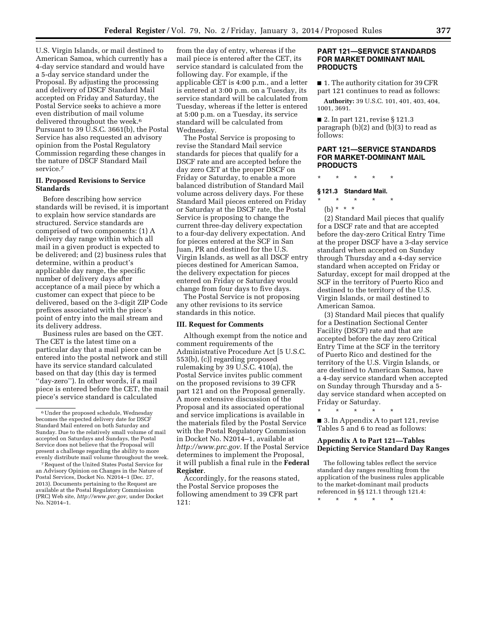U.S. Virgin Islands, or mail destined to American Samoa, which currently has a 4-day service standard and would have a 5-day service standard under the Proposal. By adjusting the processing and delivery of DSCF Standard Mail accepted on Friday and Saturday, the Postal Service seeks to achieve a more even distribution of mail volume delivered throughout the week.<sup>6</sup> Pursuant to 39 U.S.C. 3661(b), the Postal Service has also requested an advisory opinion from the Postal Regulatory Commission regarding these changes in the nature of DSCF Standard Mail service.7

#### **II. Proposed Revisions to Service Standards**

Before describing how service standards will be revised, it is important to explain how service standards are structured. Service standards are comprised of two components: (1) A delivery day range within which all mail in a given product is expected to be delivered; and (2) business rules that determine, within a product's applicable day range, the specific number of delivery days after acceptance of a mail piece by which a customer can expect that piece to be delivered, based on the 3-digit ZIP Code prefixes associated with the piece's point of entry into the mail stream and its delivery address.

Business rules are based on the CET. The CET is the latest time on a particular day that a mail piece can be entered into the postal network and still have its service standard calculated based on that day (this day is termed ''day-zero''). In other words, if a mail piece is entered before the CET, the mail piece's service standard is calculated

from the day of entry, whereas if the mail piece is entered after the CET, its service standard is calculated from the following day. For example, if the applicable CET is 4:00 p.m., and a letter is entered at 3:00 p.m. on a Tuesday, its service standard will be calculated from Tuesday, whereas if the letter is entered at 5:00 p.m. on a Tuesday, its service standard will be calculated from Wednesday.

The Postal Service is proposing to revise the Standard Mail service standards for pieces that qualify for a DSCF rate and are accepted before the day zero CET at the proper DSCF on Friday or Saturday, to enable a more balanced distribution of Standard Mail volume across delivery days. For these Standard Mail pieces entered on Friday or Saturday at the DSCF rate, the Postal Service is proposing to change the current three-day delivery expectation to a four-day delivery expectation. And for pieces entered at the SCF in San Juan, PR and destined for the U.S. Virgin Islands, as well as all DSCF entry pieces destined for American Samoa, the delivery expectation for pieces entered on Friday or Saturday would change from four days to five days.

The Postal Service is not proposing any other revisions to its service standards in this notice.

#### **III. Request for Comments**

Although exempt from the notice and comment requirements of the Administrative Procedure Act [5 U.S.C. 553(b), (c)] regarding proposed rulemaking by 39 U.S.C. 410(a), the Postal Service invites public comment on the proposed revisions to 39 CFR part 121 and on the Proposal generally. A more extensive discussion of the Proposal and its associated operational and service implications is available in the materials filed by the Postal Service with the Postal Regulatory Commission in Docket No. N2014–1, available at *[http://www.prc.gov.](http://www.prc.gov)* If the Postal Service determines to implement the Proposal, it will publish a final rule in the **Federal Register**.

Accordingly, for the reasons stated, the Postal Service proposes the following amendment to 39 CFR part 121:

## **PART 121—SERVICE STANDARDS FOR MARKET DOMINANT MAIL PRODUCTS**

■ 1. The authority citation for 39 CFR part 121 continues to read as follows:

**Authority:** 39 U.S.C. 101, 401, 403, 404, 1001, 3691.

■ 2. In part 121, revise § 121.3 paragraph (b)(2) and (b)(3) to read as follows:

## **PART 121—SERVICE STANDARDS FOR MARKET-DOMINANT MAIL PRODUCTS**

#### \* \* \* \* \*

# **§ 121.3 Standard Mail.**

- \* \* \* \* \*
	- (b) \* \* \*

(2) Standard Mail pieces that qualify for a DSCF rate and that are accepted before the day-zero Critical Entry Time at the proper DSCF have a 3-day service standard when accepted on Sunday through Thursday and a 4-day service standard when accepted on Friday or Saturday, except for mail dropped at the SCF in the territory of Puerto Rico and destined to the territory of the U.S. Virgin Islands, or mail destined to American Samoa.

(3) Standard Mail pieces that qualify for a Destination Sectional Center Facility (DSCF) rate and that are accepted before the day zero Critical Entry Time at the SCF in the territory of Puerto Rico and destined for the territory of the U.S. Virgin Islands, or are destined to American Samoa, have a 4-day service standard when accepted on Sunday through Thursday and a 5 day service standard when accepted on Friday or Saturday.

\* \* \* \* \* ■ 3. In Appendix A to part 121, revise Tables 5 and 6 to read as follows:

# **Appendix A to Part 121—Tables Depicting Service Standard Day Ranges**

The following tables reflect the service standard day ranges resulting from the application of the business rules applicable to the market-dominant mail products referenced in §§ 121.1 through 121.4:

\* \* \* \* \*

<sup>6</sup>Under the proposed schedule, Wednesday becomes the expected delivery date for DSCF Standard Mail entered on both Saturday and Sunday. Due to the relatively small volume of mail accepted on Saturdays and Sundays, the Postal Service does not believe that the Proposal will present a challenge regarding the ability to more evenly distribute mail volume throughout the week.

<sup>7</sup>Request of the United States Postal Service for an Advisory Opinion on Changes in the Nature of Postal Services, Docket No. N2014–1 (Dec. 27, 2013). Documents pertaining to the Request are available at the Postal Regulatory Commission (PRC) Web site, *[http://www.prc.gov,](http://www.prc.gov)* under Docket No. N2014–1.